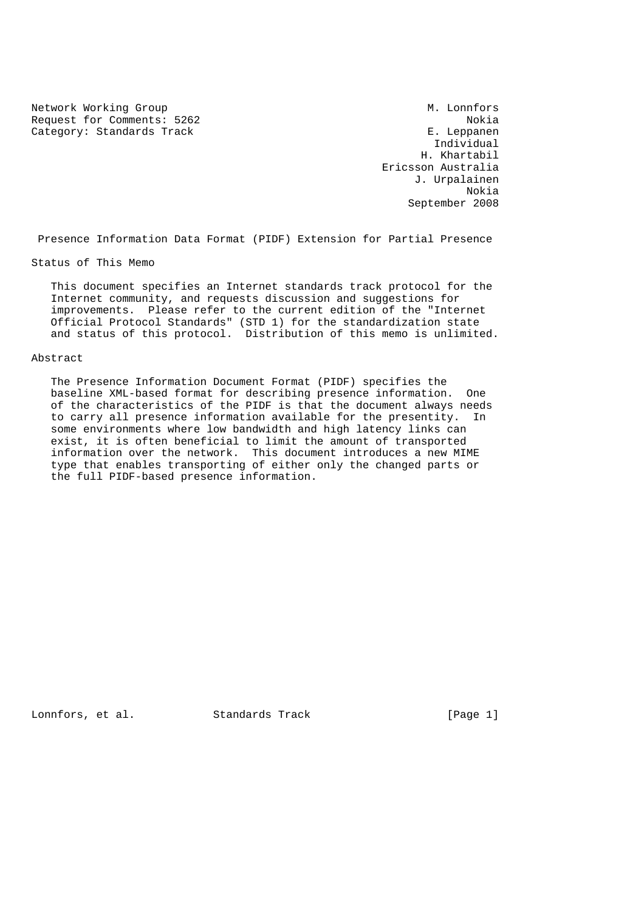Network Working Group M. Lonnfors Request for Comments: 5262 Nokia<br>Category: Standards Track Nokia E. Leppanen Category: Standards Track

 Individual H. Khartabil Ericsson Australia J. Urpalainen Nokia September 2008

Presence Information Data Format (PIDF) Extension for Partial Presence

Status of This Memo

 This document specifies an Internet standards track protocol for the Internet community, and requests discussion and suggestions for improvements. Please refer to the current edition of the "Internet Official Protocol Standards" (STD 1) for the standardization state and status of this protocol. Distribution of this memo is unlimited.

#### Abstract

 The Presence Information Document Format (PIDF) specifies the baseline XML-based format for describing presence information. One of the characteristics of the PIDF is that the document always needs to carry all presence information available for the presentity. In some environments where low bandwidth and high latency links can exist, it is often beneficial to limit the amount of transported information over the network. This document introduces a new MIME type that enables transporting of either only the changed parts or the full PIDF-based presence information.

Lonnfors, et al. Standards Track [Page 1]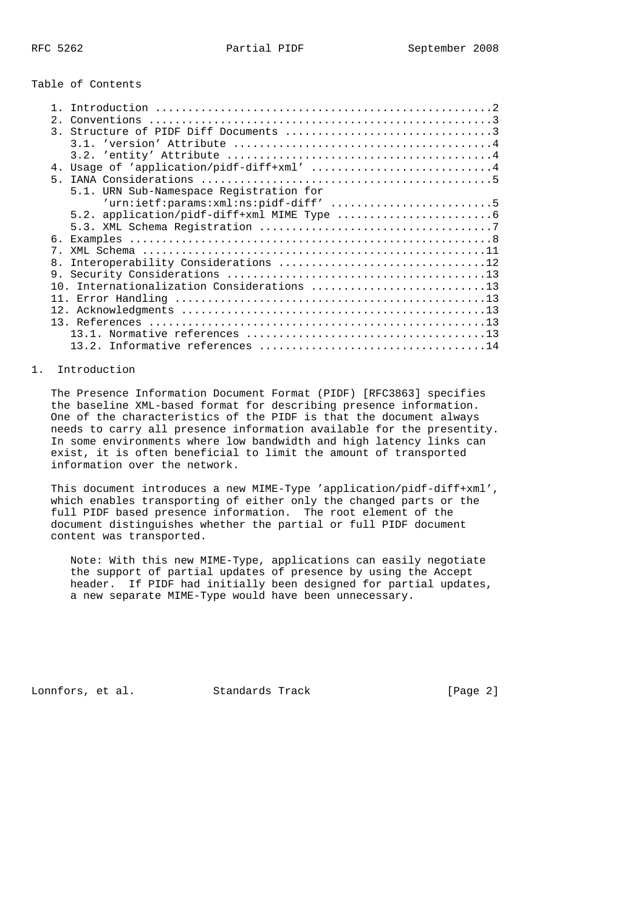## Table of Contents

| 2.               | Conventions                               |
|------------------|-------------------------------------------|
| $\overline{3}$ . |                                           |
|                  |                                           |
|                  |                                           |
|                  | 4. Usage of 'application/pidf-diff+xml' 4 |
| 5 <sub>1</sub>   |                                           |
|                  | 5.1. URN Sub-Namespace Registration for   |
|                  | 'urn:ietf:params:xml:ns:pidf-diff' 5      |
|                  |                                           |
|                  |                                           |
| 6.               |                                           |
| 7                |                                           |
| 8.               |                                           |
| 9.               |                                           |
| 1 N              | Internationalization Considerations 13    |
| 11               |                                           |
| 12 <sup>1</sup>  |                                           |
|                  |                                           |
|                  |                                           |
|                  |                                           |
|                  |                                           |

## 1. Introduction

 The Presence Information Document Format (PIDF) [RFC3863] specifies the baseline XML-based format for describing presence information. One of the characteristics of the PIDF is that the document always needs to carry all presence information available for the presentity. In some environments where low bandwidth and high latency links can exist, it is often beneficial to limit the amount of transported information over the network.

 This document introduces a new MIME-Type 'application/pidf-diff+xml', which enables transporting of either only the changed parts or the full PIDF based presence information. The root element of the document distinguishes whether the partial or full PIDF document content was transported.

 Note: With this new MIME-Type, applications can easily negotiate the support of partial updates of presence by using the Accept header. If PIDF had initially been designed for partial updates, a new separate MIME-Type would have been unnecessary.

Lonnfors, et al. Standards Track [Page 2]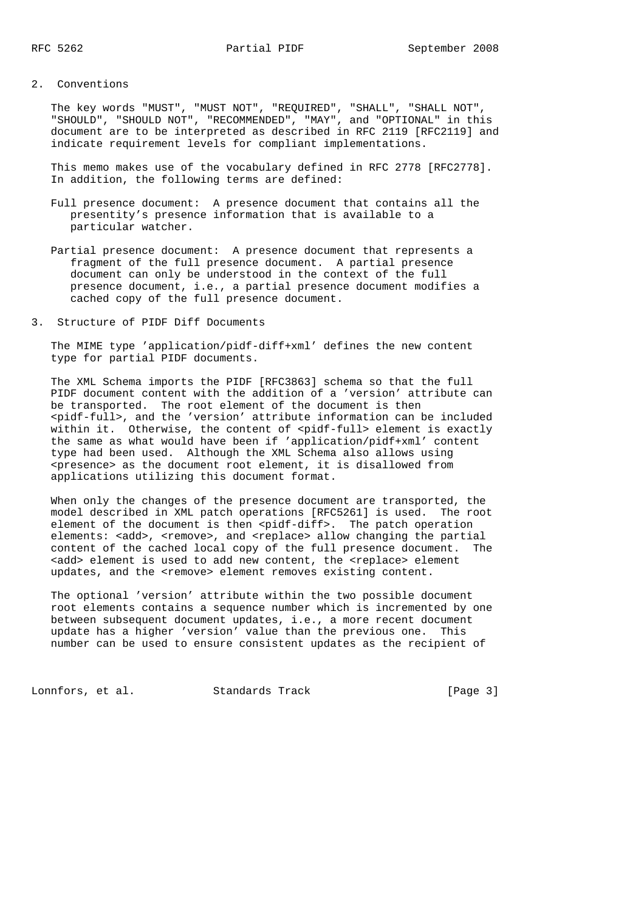# 2. Conventions

 The key words "MUST", "MUST NOT", "REQUIRED", "SHALL", "SHALL NOT", "SHOULD", "SHOULD NOT", "RECOMMENDED", "MAY", and "OPTIONAL" in this document are to be interpreted as described in RFC 2119 [RFC2119] and indicate requirement levels for compliant implementations.

 This memo makes use of the vocabulary defined in RFC 2778 [RFC2778]. In addition, the following terms are defined:

- Full presence document: A presence document that contains all the presentity's presence information that is available to a particular watcher.
- Partial presence document: A presence document that represents a fragment of the full presence document. A partial presence document can only be understood in the context of the full presence document, i.e., a partial presence document modifies a cached copy of the full presence document.
- 3. Structure of PIDF Diff Documents

 The MIME type 'application/pidf-diff+xml' defines the new content type for partial PIDF documents.

 The XML Schema imports the PIDF [RFC3863] schema so that the full PIDF document content with the addition of a 'version' attribute can be transported. The root element of the document is then <pidf-full>, and the 'version' attribute information can be included within it. Otherwise, the content of <pidf-full> element is exactly the same as what would have been if 'application/pidf+xml' content type had been used. Although the XML Schema also allows using <presence> as the document root element, it is disallowed from applications utilizing this document format.

 When only the changes of the presence document are transported, the model described in XML patch operations [RFC5261] is used. The root element of the document is then <pidf-diff>. The patch operation elements: <add>, <remove>, and <replace> allow changing the partial content of the cached local copy of the full presence document. The <add> element is used to add new content, the <replace> element updates, and the <remove> element removes existing content.

 The optional 'version' attribute within the two possible document root elements contains a sequence number which is incremented by one between subsequent document updates, i.e., a more recent document update has a higher 'version' value than the previous one. This number can be used to ensure consistent updates as the recipient of

Lonnfors, et al. Standards Track [Page 3]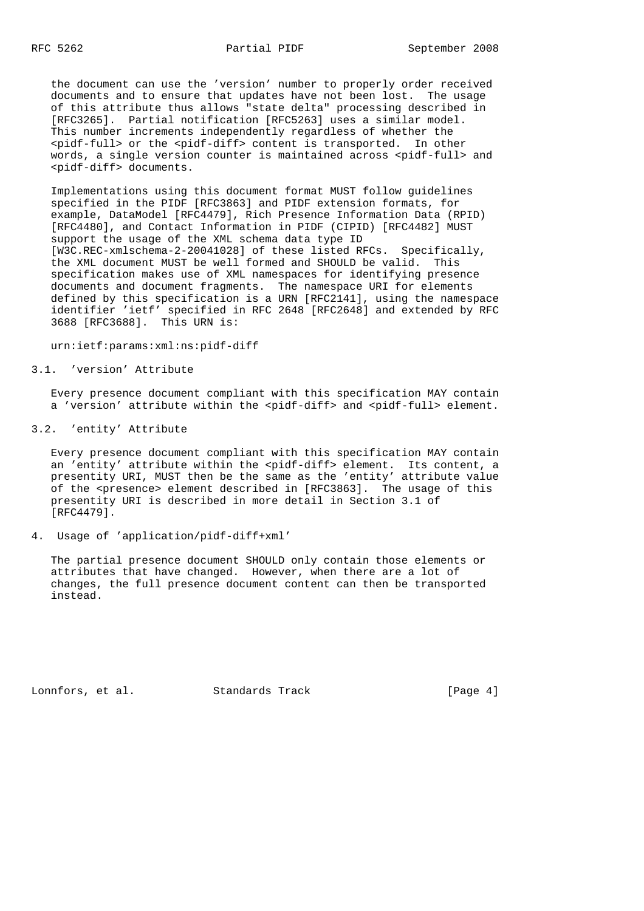the document can use the 'version' number to properly order received documents and to ensure that updates have not been lost. The usage of this attribute thus allows "state delta" processing described in [RFC3265]. Partial notification [RFC5263] uses a similar model. This number increments independently regardless of whether the <pidf-full> or the <pidf-diff> content is transported. In other words, a single version counter is maintained across <pidf-full> and <pidf-diff> documents.

 Implementations using this document format MUST follow guidelines specified in the PIDF [RFC3863] and PIDF extension formats, for example, DataModel [RFC4479], Rich Presence Information Data (RPID) [RFC4480], and Contact Information in PIDF (CIPID) [RFC4482] MUST support the usage of the XML schema data type ID [W3C.REC-xmlschema-2-20041028] of these listed RFCs. Specifically, the XML document MUST be well formed and SHOULD be valid. This specification makes use of XML namespaces for identifying presence documents and document fragments. The namespace URI for elements defined by this specification is a URN [RFC2141], using the namespace identifier 'ietf' specified in RFC 2648 [RFC2648] and extended by RFC 3688 [RFC3688]. This URN is:

urn:ietf:params:xml:ns:pidf-diff

## 3.1. 'version' Attribute

 Every presence document compliant with this specification MAY contain a 'version' attribute within the <pidf-diff> and <pidf-full> element.

3.2. 'entity' Attribute

 Every presence document compliant with this specification MAY contain an 'entity' attribute within the <pidf-diff> element. Its content, a presentity URI, MUST then be the same as the 'entity' attribute value of the <presence> element described in [RFC3863]. The usage of this presentity URI is described in more detail in Section 3.1 of [RFC4479].

4. Usage of 'application/pidf-diff+xml'

 The partial presence document SHOULD only contain those elements or attributes that have changed. However, when there are a lot of changes, the full presence document content can then be transported instead.

Lonnfors, et al. Standards Track [Page 4]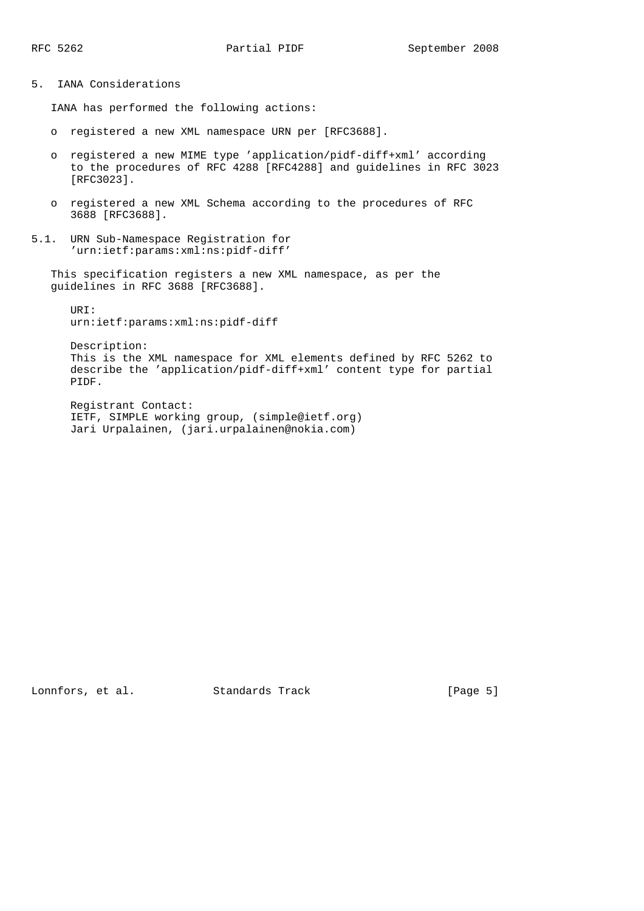5. IANA Considerations

IANA has performed the following actions:

- o registered a new XML namespace URN per [RFC3688].
- o registered a new MIME type 'application/pidf-diff+xml' according to the procedures of RFC 4288 [RFC4288] and guidelines in RFC 3023 [RFC3023].
- o registered a new XML Schema according to the procedures of RFC 3688 [RFC3688].
- 5.1. URN Sub-Namespace Registration for 'urn:ietf:params:xml:ns:pidf-diff'

 This specification registers a new XML namespace, as per the guidelines in RFC 3688 [RFC3688].

 URI: urn:ietf:params:xml:ns:pidf-diff

 Description: This is the XML namespace for XML elements defined by RFC 5262 to describe the 'application/pidf-diff+xml' content type for partial PIDF.

 Registrant Contact: IETF, SIMPLE working group, (simple@ietf.org) Jari Urpalainen, (jari.urpalainen@nokia.com)

Lonnfors, et al. Standards Track [Page 5]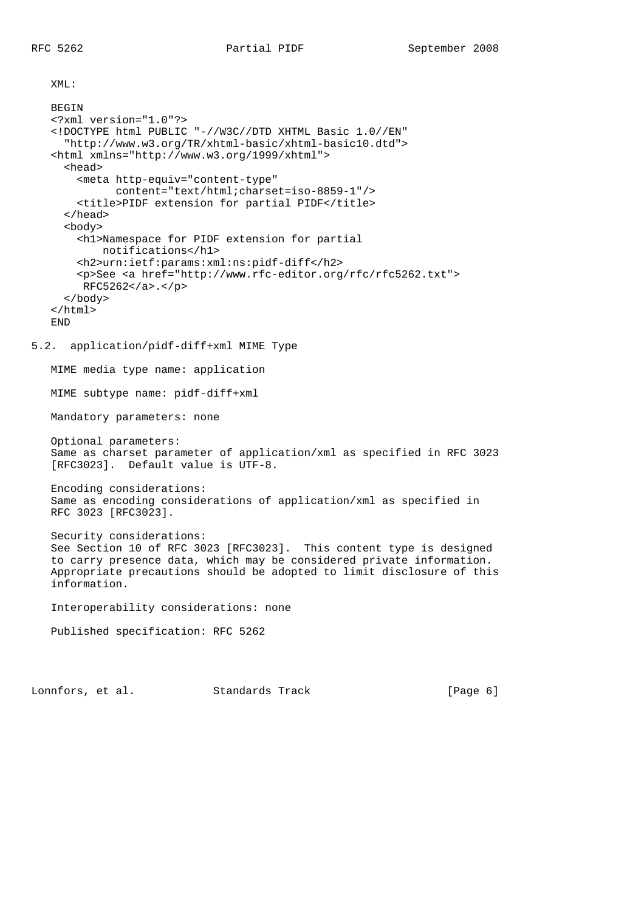XML:

```
BEGIN
   <?xml version="1.0"?>
    <!DOCTYPE html PUBLIC "-//W3C//DTD XHTML Basic 1.0//EN"
      "http://www.w3.org/TR/xhtml-basic/xhtml-basic10.dtd">
    <html xmlns="http://www.w3.org/1999/xhtml">
      <head>
        <meta http-equiv="content-type"
             content="text/html;charset=iso-8859-1"/>
        <title>PIDF extension for partial PIDF</title>
      </head>
      <body>
        <h1>Namespace for PIDF extension for partial
            notifications</h1>
        <h2>urn:ietf:params:xml:ns:pidf-diff</h2>
        <p>See <a href="http://www.rfc-editor.org/rfc/rfc5262.txt">
        RFC5262</a>.</p>
      </body>
    </html>
   END
5.2. application/pidf-diff+xml MIME Type
   MIME media type name: application
   MIME subtype name: pidf-diff+xml
   Mandatory parameters: none
   Optional parameters:
   Same as charset parameter of application/xml as specified in RFC 3023
    [RFC3023]. Default value is UTF-8.
   Encoding considerations:
   Same as encoding considerations of application/xml as specified in
   RFC 3023 [RFC3023].
   Security considerations:
   See Section 10 of RFC 3023 [RFC3023]. This content type is designed
   to carry presence data, which may be considered private information.
   Appropriate precautions should be adopted to limit disclosure of this
   information.
   Interoperability considerations: none
   Published specification: RFC 5262
```
Lonnfors, et al. Standards Track [Page 6]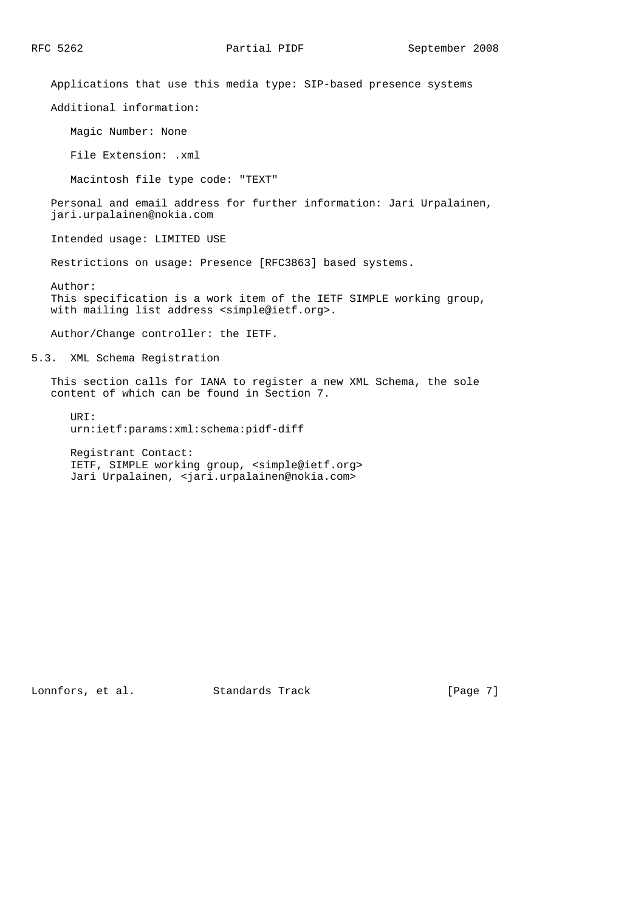Applications that use this media type: SIP-based presence systems

Additional information:

Magic Number: None

File Extension: .xml

Macintosh file type code: "TEXT"

 Personal and email address for further information: Jari Urpalainen, jari.urpalainen@nokia.com

Intended usage: LIMITED USE

Restrictions on usage: Presence [RFC3863] based systems.

 Author: This specification is a work item of the IETF SIMPLE working group, with mailing list address <simple@ietf.org>.

Author/Change controller: the IETF.

5.3. XML Schema Registration

 This section calls for IANA to register a new XML Schema, the sole content of which can be found in Section 7.

 URI: urn:ietf:params:xml:schema:pidf-diff

 Registrant Contact: IETF, SIMPLE working group, <simple@ietf.org> Jari Urpalainen, <jari.urpalainen@nokia.com>

Lonnfors, et al. Standards Track [Page 7]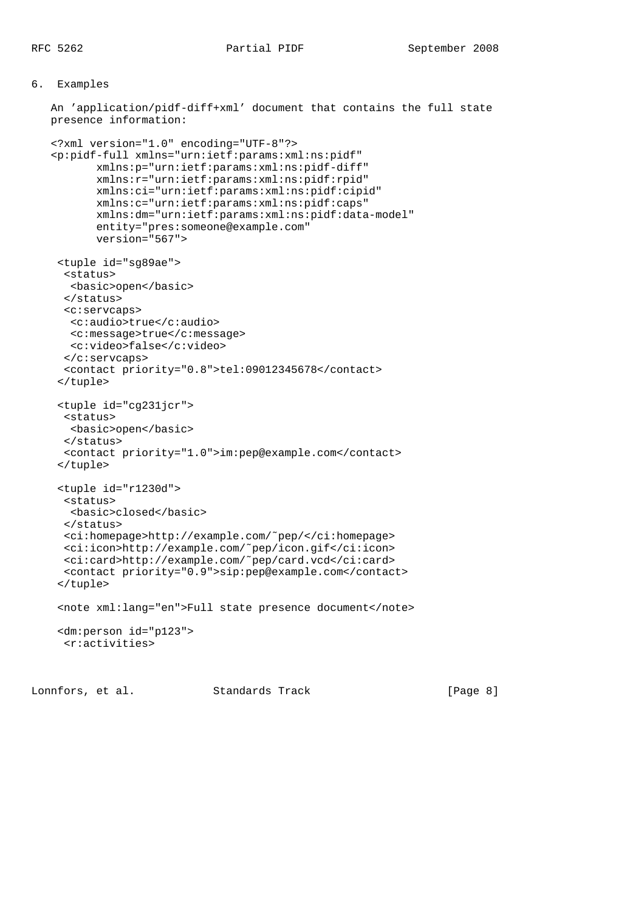## 6. Examples

 An 'application/pidf-diff+xml' document that contains the full state presence information:

```
 <?xml version="1.0" encoding="UTF-8"?>
 <p:pidf-full xmlns="urn:ietf:params:xml:ns:pidf"
        xmlns:p="urn:ietf:params:xml:ns:pidf-diff"
        xmlns:r="urn:ietf:params:xml:ns:pidf:rpid"
        xmlns:ci="urn:ietf:params:xml:ns:pidf:cipid"
        xmlns:c="urn:ietf:params:xml:ns:pidf:caps"
        xmlns:dm="urn:ietf:params:xml:ns:pidf:data-model"
        entity="pres:someone@example.com"
        version="567">
  <tuple id="sg89ae">
   <status>
    <basic>open</basic>
   </status>
  <c:servcaps>
   <c:audio>true</c:audio>
   <c:message>true</c:message>
   <c:video>false</c:video>
   </c:servcaps>
  <contact priority="0.8">tel:09012345678</contact>
  </tuple>
  <tuple id="cg231jcr">
  <status>
   <basic>open</basic>
   </status>
  <contact priority="1.0">im:pep@example.com</contact>
  </tuple>
  <tuple id="r1230d">
  <status>
    <basic>closed</basic>
   </status>
   <ci:homepage>http://example.com/˜pep/</ci:homepage>
  <ci:icon>http://example.com/˜pep/icon.gif</ci:icon>
  <ci:card>http://example.com/˜pep/card.vcd</ci:card>
  <contact priority="0.9">sip:pep@example.com</contact>
  </tuple>
  <note xml:lang="en">Full state presence document</note>
  <dm:person id="p123">
   <r:activities>
```
Lonnfors, et al. Standards Track [Page 8]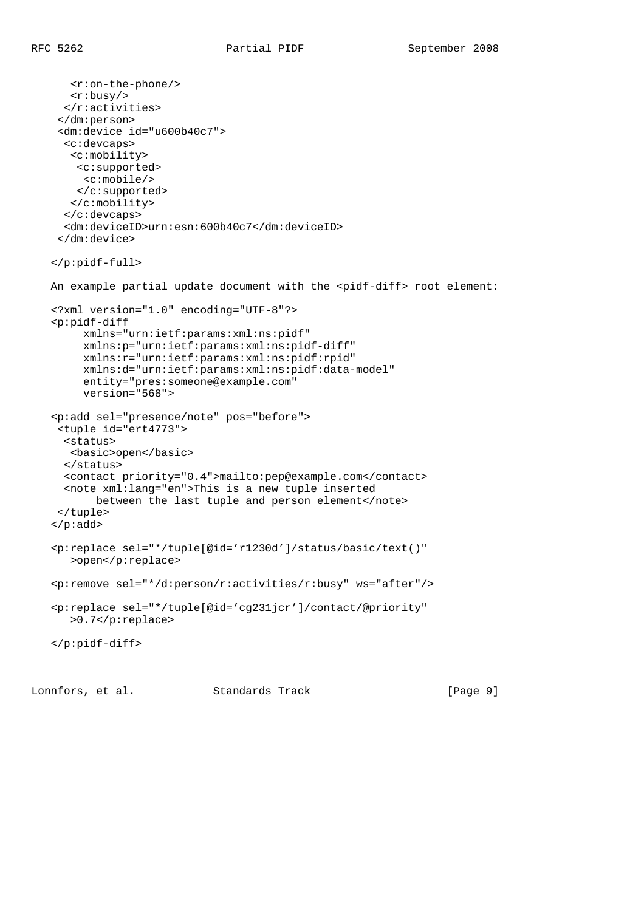<r:on-the-phone/> <r:busy/>  $\langle$ r:activities> </dm:person> <dm:device id="u600b40c7"> <c:devcaps> <c:mobility> <c:supported> <c:mobile/> </c:supported> </c:mobility> </c:devcaps> <dm:deviceID>urn:esn:600b40c7</dm:deviceID> </dm:device> </p:pidf-full> An example partial update document with the <pidf-diff> root element: <?xml version="1.0" encoding="UTF-8"?> <p:pidf-diff xmlns="urn:ietf:params:xml:ns:pidf" xmlns:p="urn:ietf:params:xml:ns:pidf-diff" xmlns:r="urn:ietf:params:xml:ns:pidf:rpid" xmlns:d="urn:ietf:params:xml:ns:pidf:data-model" entity="pres:someone@example.com" version="568"> <p:add sel="presence/note" pos="before"> <tuple id="ert4773"> <status> <basic>open</basic> </status> <contact priority="0.4">mailto:pep@example.com</contact> <note xml:lang="en">This is a new tuple inserted between the last tuple and person element</note> </tuple> </p:add> <p:replace sel="\*/tuple[@id='r1230d']/status/basic/text()" >open</p:replace> <p:remove sel="\*/d:person/r:activities/r:busy" ws="after"/> <p:replace sel="\*/tuple[@id='cg231jcr']/contact/@priority" >0.7</p:replace> </p:pidf-diff>

Lonnfors, et al. Standards Track [Page 9]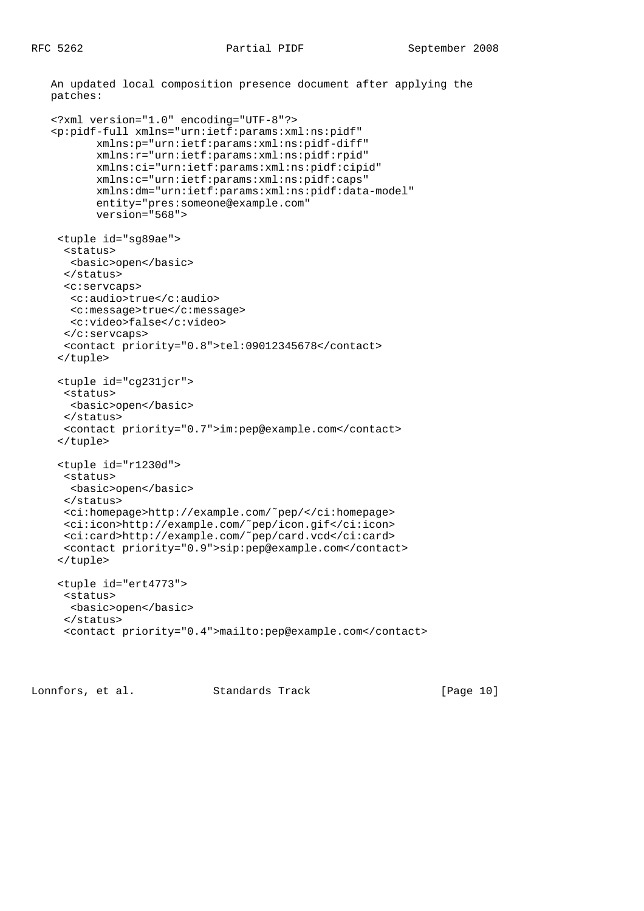```
 An updated local composition presence document after applying the
 patches:
 <?xml version="1.0" encoding="UTF-8"?>
 <p:pidf-full xmlns="urn:ietf:params:xml:ns:pidf"
        xmlns:p="urn:ietf:params:xml:ns:pidf-diff"
        xmlns:r="urn:ietf:params:xml:ns:pidf:rpid"
        xmlns:ci="urn:ietf:params:xml:ns:pidf:cipid"
        xmlns:c="urn:ietf:params:xml:ns:pidf:caps"
        xmlns:dm="urn:ietf:params:xml:ns:pidf:data-model"
        entity="pres:someone@example.com"
        version="568">
  <tuple id="sg89ae">
   <status>
    <basic>open</basic>
   </status>
   <c:servcaps>
    <c:audio>true</c:audio>
    <c:message>true</c:message>
   <c:video>false</c:video>
   </c:servcaps>
   <contact priority="0.8">tel:09012345678</contact>
  </tuple>
  <tuple id="cg231jcr">
   <status>
    <basic>open</basic>
   </status>
   <contact priority="0.7">im:pep@example.com</contact>
  </tuple>
  <tuple id="r1230d">
   <status>
    <basic>open</basic>
   </status>
   <ci:homepage>http://example.com/˜pep/</ci:homepage>
   <ci:icon>http://example.com/˜pep/icon.gif</ci:icon>
   <ci:card>http://example.com/˜pep/card.vcd</ci:card>
   <contact priority="0.9">sip:pep@example.com</contact>
  </tuple>
  <tuple id="ert4773">
   <status>
   <basic>open</basic>
   </status>
   <contact priority="0.4">mailto:pep@example.com</contact>
```
Lonnfors, et al. Standards Track [Page 10]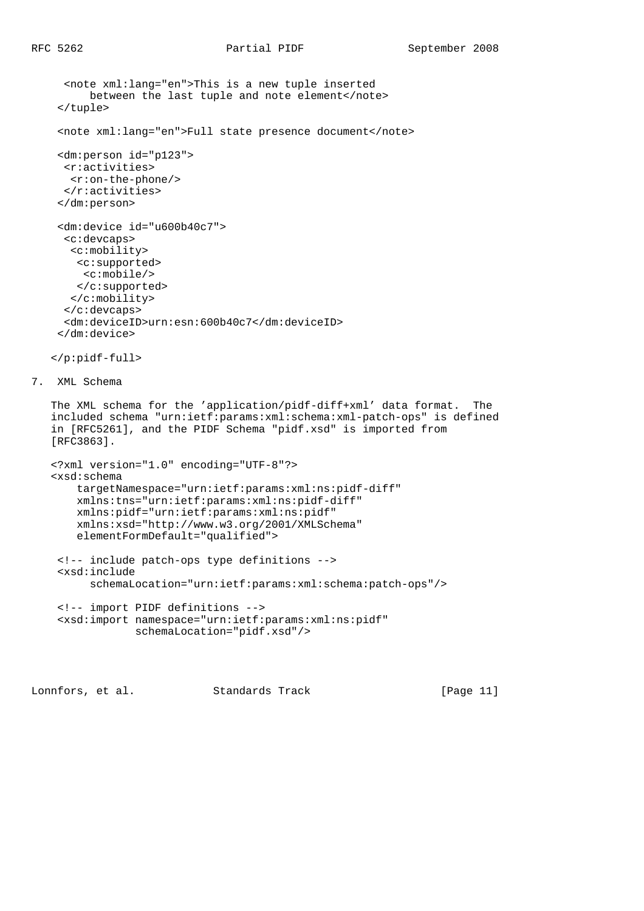```
 <note xml:lang="en">This is a new tuple inserted
          between the last tuple and note element</note>
     </tuple>
     <note xml:lang="en">Full state presence document</note>
     <dm:person id="p123">
      <r:activities>
      <r:on-the-phone/>
     \langle r:activities>
     </dm:person>
     <dm:device id="u600b40c7">
      <c:devcaps>
       <c:mobility>
       <c:supported>
        <c:mobile/>
       </c:supported>
       </c:mobility>
      </c:devcaps>
      <dm:deviceID>urn:esn:600b40c7</dm:deviceID>
     </dm:device>
    </p:pidf-full>
7. XML Schema
    The XML schema for the 'application/pidf-diff+xml' data format. The
    included schema "urn:ietf:params:xml:schema:xml-patch-ops" is defined
    in [RFC5261], and the PIDF Schema "pidf.xsd" is imported from
    [RFC3863].
    <?xml version="1.0" encoding="UTF-8"?>
    <xsd:schema
        targetNamespace="urn:ietf:params:xml:ns:pidf-diff"
        xmlns:tns="urn:ietf:params:xml:ns:pidf-diff"
        xmlns:pidf="urn:ietf:params:xml:ns:pidf"
        xmlns:xsd="http://www.w3.org/2001/XMLSchema"
        elementFormDefault="qualified">
     <!-- include patch-ops type definitions -->
     <xsd:include
          schemaLocation="urn:ietf:params:xml:schema:patch-ops"/>
     <!-- import PIDF definitions -->
     <xsd:import namespace="urn:ietf:params:xml:ns:pidf"
                 schemaLocation="pidf.xsd"/>
```
Lonnfors, et al. Standards Track [Page 11]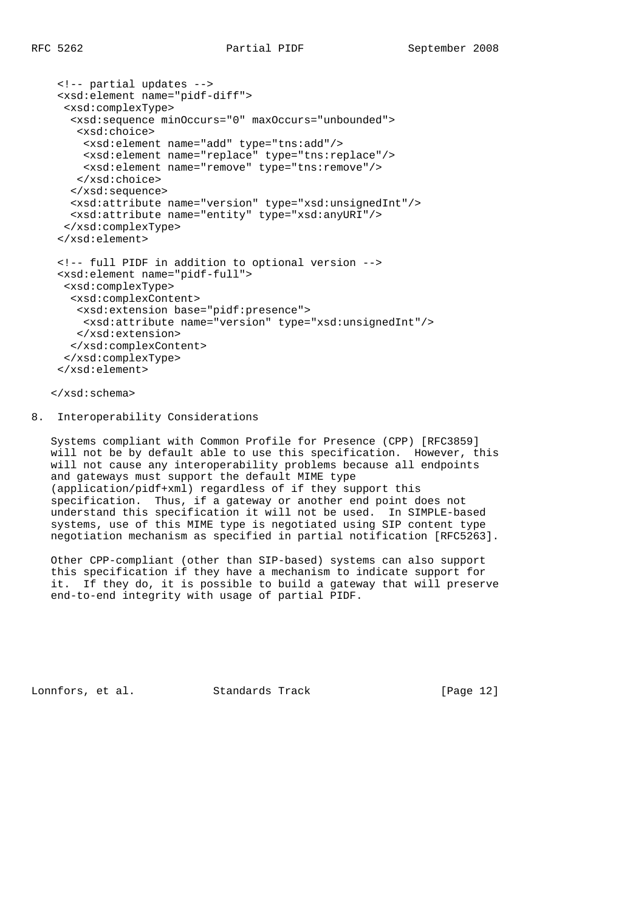```
 <!-- partial updates -->
 <xsd:element name="pidf-diff">
 <xsd:complexType>
  <xsd:sequence minOccurs="0" maxOccurs="unbounded">
   <xsd:choice>
    <xsd:element name="add" type="tns:add"/>
    <xsd:element name="replace" type="tns:replace"/>
    <xsd:element name="remove" type="tns:remove"/>
   </xsd:choice>
  </xsd:sequence>
  <xsd:attribute name="version" type="xsd:unsignedInt"/>
  <xsd:attribute name="entity" type="xsd:anyURI"/>
  </xsd:complexType>
 </xsd:element>
 <!-- full PIDF in addition to optional version -->
 <xsd:element name="pidf-full">
 <xsd:complexType>
  <xsd:complexContent>
   <xsd:extension base="pidf:presence">
    <xsd:attribute name="version" type="xsd:unsignedInt"/>
   </xsd:extension>
  </xsd:complexContent>
  </xsd:complexType>
 </xsd:element>
```
</xsd:schema>

#### 8. Interoperability Considerations

 Systems compliant with Common Profile for Presence (CPP) [RFC3859] will not be by default able to use this specification. However, this will not cause any interoperability problems because all endpoints and gateways must support the default MIME type (application/pidf+xml) regardless of if they support this specification. Thus, if a gateway or another end point does not understand this specification it will not be used. In SIMPLE-based systems, use of this MIME type is negotiated using SIP content type negotiation mechanism as specified in partial notification [RFC5263].

 Other CPP-compliant (other than SIP-based) systems can also support this specification if they have a mechanism to indicate support for it. If they do, it is possible to build a gateway that will preserve end-to-end integrity with usage of partial PIDF.

Lonnfors, et al. Standards Track [Page 12]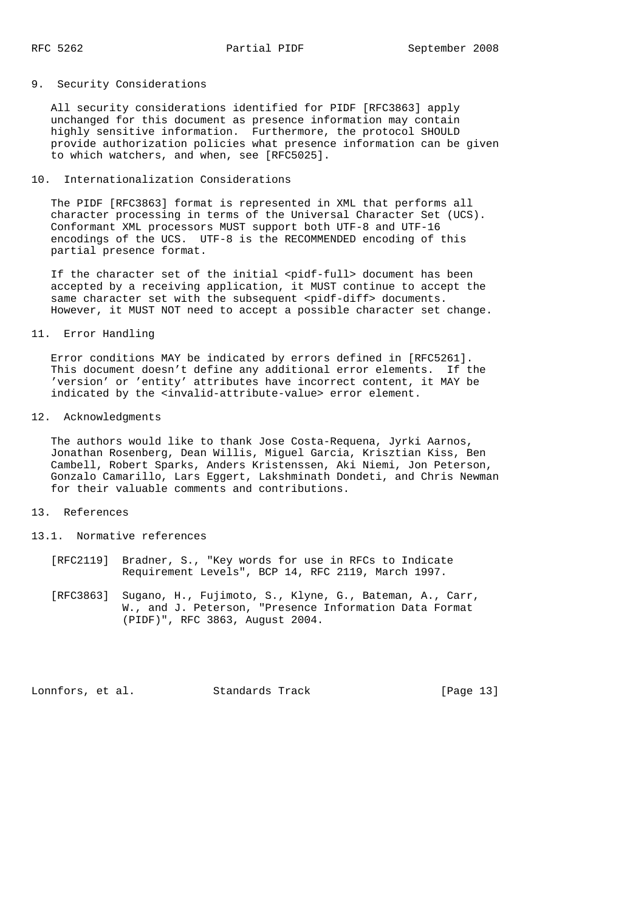## 9. Security Considerations

 All security considerations identified for PIDF [RFC3863] apply unchanged for this document as presence information may contain highly sensitive information. Furthermore, the protocol SHOULD provide authorization policies what presence information can be given to which watchers, and when, see [RFC5025].

## 10. Internationalization Considerations

 The PIDF [RFC3863] format is represented in XML that performs all character processing in terms of the Universal Character Set (UCS). Conformant XML processors MUST support both UTF-8 and UTF-16 encodings of the UCS. UTF-8 is the RECOMMENDED encoding of this partial presence format.

If the character set of the initial <pidf-full> document has been accepted by a receiving application, it MUST continue to accept the same character set with the subsequent <pidf-diff> documents. However, it MUST NOT need to accept a possible character set change.

#### 11. Error Handling

 Error conditions MAY be indicated by errors defined in [RFC5261]. This document doesn't define any additional error elements. If the 'version' or 'entity' attributes have incorrect content, it MAY be indicated by the <invalid-attribute-value> error element.

## 12. Acknowledgments

 The authors would like to thank Jose Costa-Requena, Jyrki Aarnos, Jonathan Rosenberg, Dean Willis, Miguel Garcia, Krisztian Kiss, Ben Cambell, Robert Sparks, Anders Kristenssen, Aki Niemi, Jon Peterson, Gonzalo Camarillo, Lars Eggert, Lakshminath Dondeti, and Chris Newman for their valuable comments and contributions.

#### 13. References

- 13.1. Normative references
	- [RFC2119] Bradner, S., "Key words for use in RFCs to Indicate Requirement Levels", BCP 14, RFC 2119, March 1997.
	- [RFC3863] Sugano, H., Fujimoto, S., Klyne, G., Bateman, A., Carr, W., and J. Peterson, "Presence Information Data Format (PIDF)", RFC 3863, August 2004.

Lonnfors, et al. Standards Track [Page 13]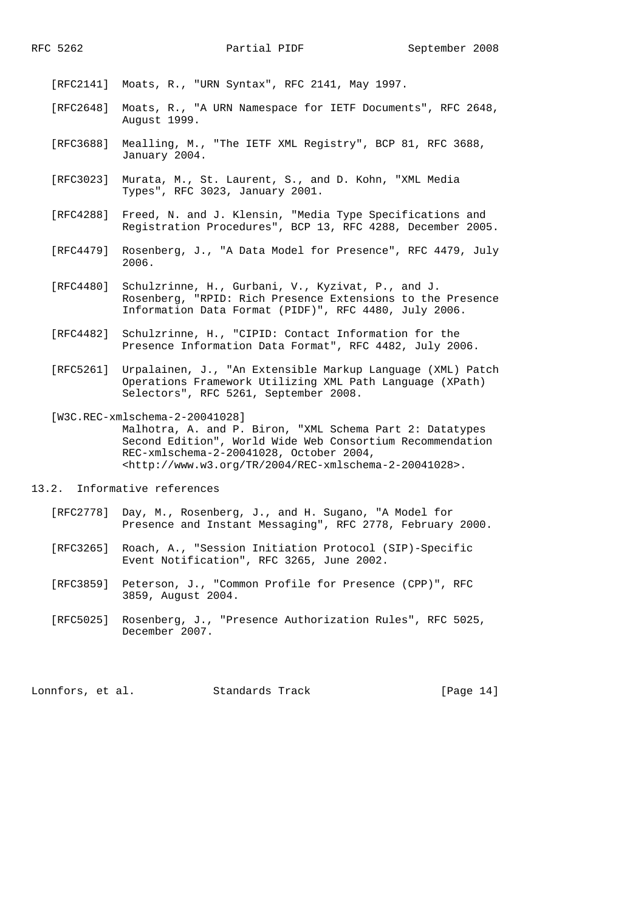[RFC2141] Moats, R., "URN Syntax", RFC 2141, May 1997.

- [RFC2648] Moats, R., "A URN Namespace for IETF Documents", RFC 2648, August 1999.
- [RFC3688] Mealling, M., "The IETF XML Registry", BCP 81, RFC 3688, January 2004.
- [RFC3023] Murata, M., St. Laurent, S., and D. Kohn, "XML Media Types", RFC 3023, January 2001.
- [RFC4288] Freed, N. and J. Klensin, "Media Type Specifications and Registration Procedures", BCP 13, RFC 4288, December 2005.
- [RFC4479] Rosenberg, J., "A Data Model for Presence", RFC 4479, July 2006.
- [RFC4480] Schulzrinne, H., Gurbani, V., Kyzivat, P., and J. Rosenberg, "RPID: Rich Presence Extensions to the Presence Information Data Format (PIDF)", RFC 4480, July 2006.
- [RFC4482] Schulzrinne, H., "CIPID: Contact Information for the Presence Information Data Format", RFC 4482, July 2006.
- [RFC5261] Urpalainen, J., "An Extensible Markup Language (XML) Patch Operations Framework Utilizing XML Path Language (XPath) Selectors", RFC 5261, September 2008.
- [W3C.REC-xmlschema-2-20041028] Malhotra, A. and P. Biron, "XML Schema Part 2: Datatypes Second Edition", World Wide Web Consortium Recommendation REC-xmlschema-2-20041028, October 2004, <http://www.w3.org/TR/2004/REC-xmlschema-2-20041028>.
- 13.2. Informative references
	- [RFC2778] Day, M., Rosenberg, J., and H. Sugano, "A Model for Presence and Instant Messaging", RFC 2778, February 2000.
	- [RFC3265] Roach, A., "Session Initiation Protocol (SIP)-Specific Event Notification", RFC 3265, June 2002.
	- [RFC3859] Peterson, J., "Common Profile for Presence (CPP)", RFC 3859, August 2004.
	- [RFC5025] Rosenberg, J., "Presence Authorization Rules", RFC 5025, December 2007.

Lonnfors, et al. Standards Track [Page 14]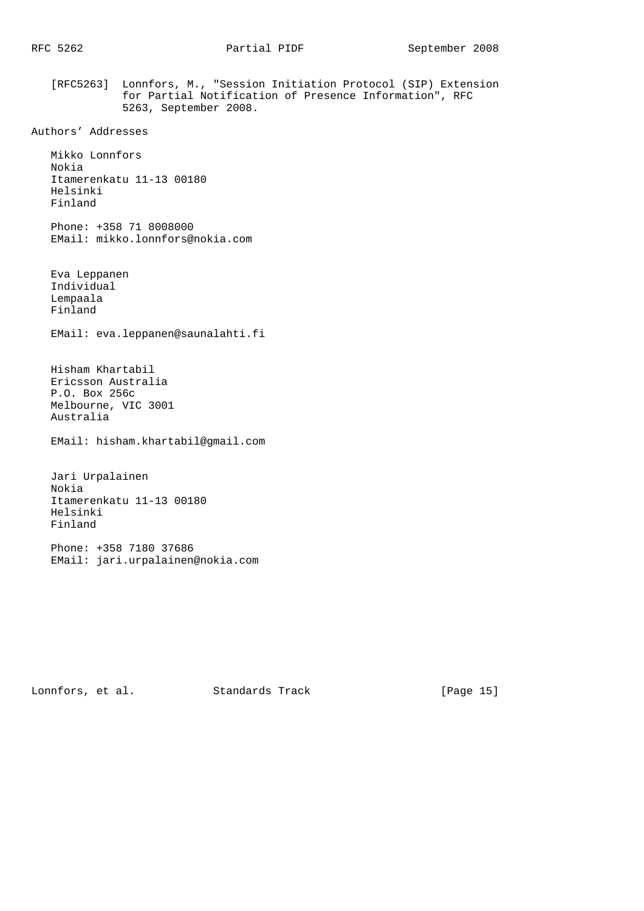[RFC5263] Lonnfors, M., "Session Initiation Protocol (SIP) Extension for Partial Notification of Presence Information", RFC 5263, September 2008.

```
Authors' Addresses
```
 Mikko Lonnfors Nokia Itamerenkatu 11-13 00180 Helsinki Finland

 Phone: +358 71 8008000 EMail: mikko.lonnfors@nokia.com

 Eva Leppanen Individual Lempaala Finland

EMail: eva.leppanen@saunalahti.fi

 Hisham Khartabil Ericsson Australia P.O. Box 256c Melbourne, VIC 3001 Australia

EMail: hisham.khartabil@gmail.com

 Jari Urpalainen Nokia Itamerenkatu 11-13 00180 Helsinki Finland

 Phone: +358 7180 37686 EMail: jari.urpalainen@nokia.com

Lonnfors, et al. Standards Track [Page 15]